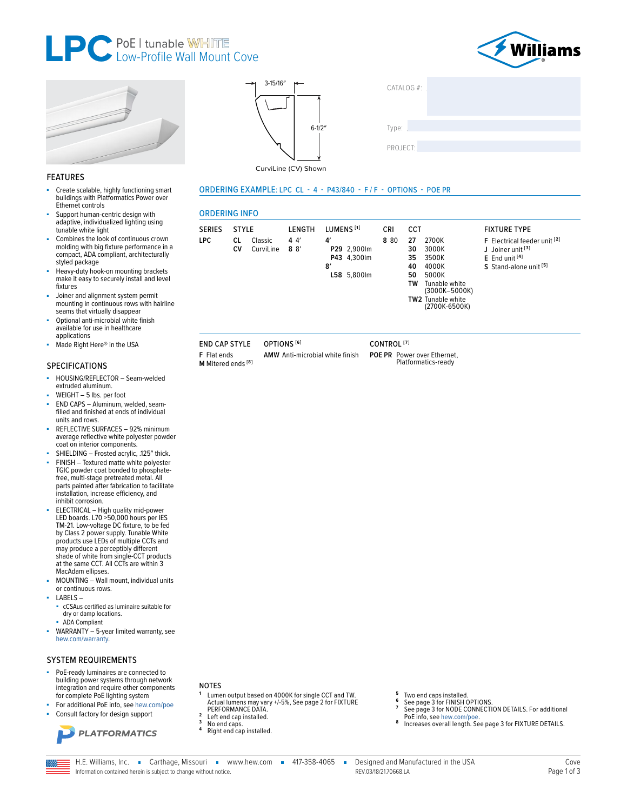



**FIXTURE TYPE** 

J Joiner unit<sup>[3]</sup>

 $E$  End unit  $[4]$ 

F Electrical feeder unit [2]

S Stand-alone unit [5]



## **FEATURES**

- Create scalable, highly functioning smart ×. buildings with Platformatics Power over Ethernet controls
- Support human-centric design with adaptive, individualized lighting using tunable white light
- Combines the look of continuous crown molding with big fixture performance in a<br>compact, ADA compliant, architecturally styled package
- Heavy-duty hook-on mounting brackets make it easy to securely install and level fixtures
- Joiner and alignment system permit mounting in continuous rows with hairline seams that virtually disappear
- Optional anti-microbial white finish available for use in healthcare applications
- Made Right Here® in the USA

### **SPECIFICATIONS**

- HOUSING/REFLECTOR Seam-welded extruded aluminum.
- WEIGHT 5 lbs. per foot
- END CAPS Aluminum, welded, seamä, filled and finished at ends of individual units and rows.
- REFLECTIVE SURFACES 92% minimum average reflective white polyester powder coat on interior components.
- SHIELDING Frosted acrylic, .125" thick. FINISH - Textured matte white polyester TGIC powder coat bonded to phosphate-
- free, multi-stage pretreated metal. All parts painted after fabrication to facilitate installation, increase efficiency, and inhibit corrosion.
- ELECTRICAL High quality mid-power<br>LED boards. L70 >50,000 hours per IES TM-21. Low-voltage DC fixture, to be fed by Class 2 power supply. Tunable White<br>products use LEDs of multiple CCTs and may produce a perceptibly different shade of white from single-CCT products at the same CCT. All CCTs are within 3 MacAdam ellipses.
- MOUNTING Wall mount, individual units or continuous rows.
- LABELS
	- cCSAus certified as luminaire suitable for dry or damp locations.
	- **ADA Compliant**
- WARRANTY 5-year limited warranty, see hew.com/warranty.

### **SYSTEM REQUIREMENTS**

- PoE-ready luminaires are connected to building power systems through network integration and require other components for complete PoE lighting system
	- For additional PoE info, see hew.com/poe Consult factory for design support



### **NOTES**

Lumen output based on 4000K for single CCT and TW. Actual lumens may vary +/-5%, See page 2 for FIXTURE<br>PERFORMANCE DATA.

3-15/16"

CurviLine (CV) Shown

**I FNGTH** 

 $44$ 

 $8 \frac{8}{ }$ 

OPTIONS<sup>[6]</sup>

**ORDERING INFO** 

SERIES STYLE

**END CAP STYLE** 

M Mitered ends<sup>[8]</sup>

F Flat ends

CV

CL Classic

CurviLine

LPC.

 $6 - 1/2'$ 

ORDERING EXAMPLE: LPC CL - 4 - P43/840 - F/F - OPTIONS - POE PR

 $\mathbf{A}^{\prime}$ 

 $\mathbf{8}^{\prime}$ 

LUMENS<sup>[1]</sup>

P29 2,900lm

P43 4,300lm

L58 5,800lm

- $\overline{2}$ Left end cap installed
- 
- No end caps.<br>Right end cap installed.
- Two end caps installed.
- See page 3 for FINISH OPTIONS.<br>See page 3 for FINISH OPTIONS.<br>See page 3 for NODE CONNECTION DETAILS. For additional
- PoE info, see hew.com/poe.
- Increases overall length. See page 3 for FIXTURE DETAILS.

AMW Anti-microbial white finish

CONTROL<sup>[7]</sup>

POE PR Power over Ethernet,<br>Platformatics-ready

 $CATAIOG#$ 

Type:

CRI

 $8.80$ 

CCT

27

30

35

40

50

TW

TW<sub>2</sub>

2700K

3000K

3500K

4000K

5000K

Tunable white<br>(3000K-5000K)

Tunable white<br>(2700K-6500K)

PROJECT:

H.E. Williams, Inc. Carthage, Missouri vww.hew.com 417-358-4065 -Information contained herein is subject to change without notice.

Designed and Manufactured in the USA REV 03/18/21 70668 LA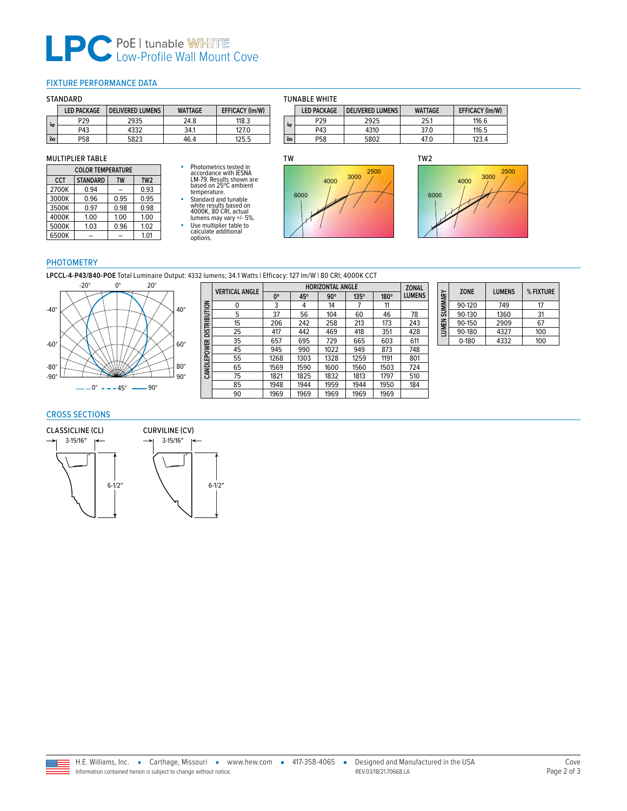# **LPC** PoE | tunable WHITE

### <span id="page-1-0"></span>FIXTURE PERFORMANCE DATA

### **STANDARD**

|                  | <b>LED PACKAGE</b> | <b>DELIVERED LUMENS</b> | <b>WATTAGE</b> | <b>EFFICACY (Im/W)</b> |
|------------------|--------------------|-------------------------|----------------|------------------------|
| ਦੇ               | P29                | 2935                    | 24.8           | 118.3                  |
|                  | P43                | 4332                    | 34.1           | 127.0                  |
| $\tilde{\infty}$ | P58                | 5823                    | 46.4           | 125.5                  |

### MULTIPLIER TABLE

| <b>COLOR TEMPERATURE</b> |                 |      |                 |  |
|--------------------------|-----------------|------|-----------------|--|
| <b>CCT</b>               | <b>STANDARD</b> | TW   | TW <sub>2</sub> |  |
| 2700K                    | 0.94            |      | 0.93            |  |
| 3000K                    | 0.96            | 0.95 | 0.95            |  |
| 3500K                    | 0.97            | 0.98 | 0.98            |  |
| 4000K                    | 1.00            | 1.00 | 1.00            |  |
| 5000K                    | 1.03            | 0.96 | 1.02            |  |
| 6500K                    |                 |      | 1.01            |  |

# ■ Photometrics tested in accordance with IESNA LM-79. Results shown are based on 25ºC ambient temperature. ■ Standard and tunable white results based on 4000K, 80 CRI, actual lumens may vary +/- 5%.

■ Use multiplier table to calculate additional options.



**LED PACKAGE DELIVERED LUMENS WATTAGE EFFICACY (lm/W)**

P29 2925 25.1 116.6 P43 | 4310 | 37.0 | 116.5

P58 5802 47.0 123.4

TUNABLE WHITE

**4′**

**8′**



### PHOTOMETRY

**LPCCL-4-P43/840-POE** Total Luminaire Output: 4332 lumens; 34.1 Watts | Efficacy: 127 lm/W | 80 CRI; 4000K CCT

6-1/2″



|              | <b>VERTICAL ANGLE</b> | <b>HORIZONTAL ANGLE</b> |      |            |             |             | <b>ZONAL</b>  |
|--------------|-----------------------|-------------------------|------|------------|-------------|-------------|---------------|
|              |                       | $0^{\circ}$             | 45°  | $90^\circ$ | $135^\circ$ | $180^\circ$ | <b>LUMENS</b> |
|              | 0                     | 3                       | 4    | 14         | 7           | 11          |               |
|              | 5                     | 37                      | 56   | 104        | 60          | 46          | 78            |
|              | 15                    | 206                     | 242  | 258        | 213         | 173         | 243           |
| DISTRIBUTION | 25                    | 417                     | 442  | 469        | 418         | 351         | 428           |
|              | 35                    | 657                     | 695  | 729        | 665         | 603         | 611           |
|              | 45                    | 945                     | 990  | 1022       | 949         | 873         | 748           |
| CANDLEPOWER  | 55                    | 1268                    | 1303 | 1328       | 1259        | 1191        | 801           |
|              | 65                    | 1569                    | 1590 | 1600       | 1560        | 1503        | 724           |
|              | 75                    | 1821                    | 1825 | 1832       | 1813        | 1797        | 510           |
|              | 85                    | 1948                    | 1944 | 1959       | 1944        | 1950        | 184           |
|              | 90                    | 1969                    | 1969 | 1969       | 1969        | 1969        |               |

| SUMMARY | <b>ZONE</b> | <b>LUMENS</b> | % FIXTURE |
|---------|-------------|---------------|-----------|
|         | 90-120      | 749           | 17        |
|         | 90-130      | 1360          | 31        |
| LUMEN:  | 90-150      | 2909          | 67        |
|         | 90-180      | 4327          | 100       |
|         | $0 - 180$   | 4332          | 100       |

## CROSS SECTIONS